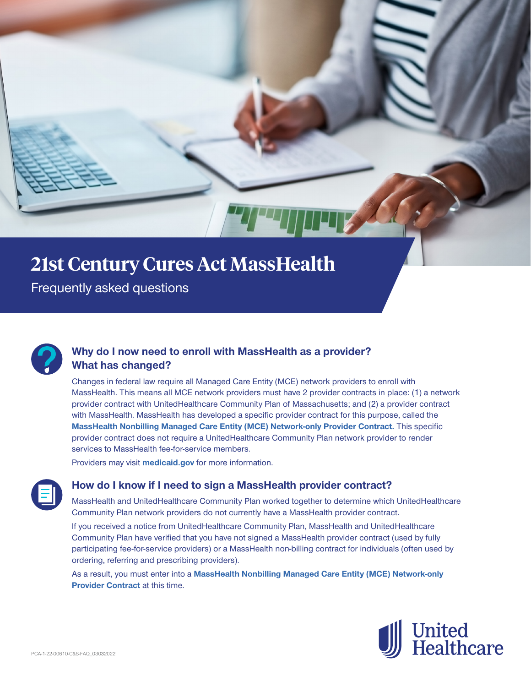# **21st Century Cures Act MassHealth 21st Century Cures Act MassHealth**

 $\mathbf{F}$  frequently asked  $\mathbf{F}$ Frequently asked questions



#### **Why do I now need to enroll with MassHealth as a provider? What has changed?**

Changes in federal law require all Managed Care Entity (MCE) network providers to enroll with MassHealth. This means all MCE network providers must have 2 provider contracts in place: (1) a network provider contract with UnitedHealthcare Community Plan of Massachusetts; and (2) a provider contract with MassHealth. MassHealth has developed a specific provider contract for this purpose, called the **[MassHealth Nonbilling Managed Care Entity \(MCE\) Network-only Provider Contract](https://www.mass.gov/doc/masshealth-nonbilling-managed-care-entity-mce-network-only-provider-contract-1/download).** This specific provider contract does not require a UnitedHealthcare Community Plan network provider to render services to MassHealth fee-for-service members.

Providers may visit **[medicaid.gov](https://www.medicaid.gov)** for more information.



#### **How do I know if I need to sign a MassHealth provider contract?**

MassHealth and UnitedHealthcare Community Plan worked together to determine which UnitedHealthcare Community Plan network providers do not currently have a MassHealth provider contract.

If you received a notice from UnitedHealthcare Community Plan, MassHealth and UnitedHealthcare Community Plan have verified that you have not signed a MassHealth provider contract (used by fully participating fee-for-service providers) or a MassHealth non-billing contract for individuals (often used by ordering, referring and prescribing providers).

As a result, you must enter into a **[MassHealth Nonbilling Managed Care Entity \(MCE\) Network-only](https://www.mass.gov/doc/masshealth-nonbilling-managed-care-entity-mce-network-only-provider-contract-1/download)  [Provider Contract](https://www.mass.gov/doc/masshealth-nonbilling-managed-care-entity-mce-network-only-provider-contract-1/download)** at this time.